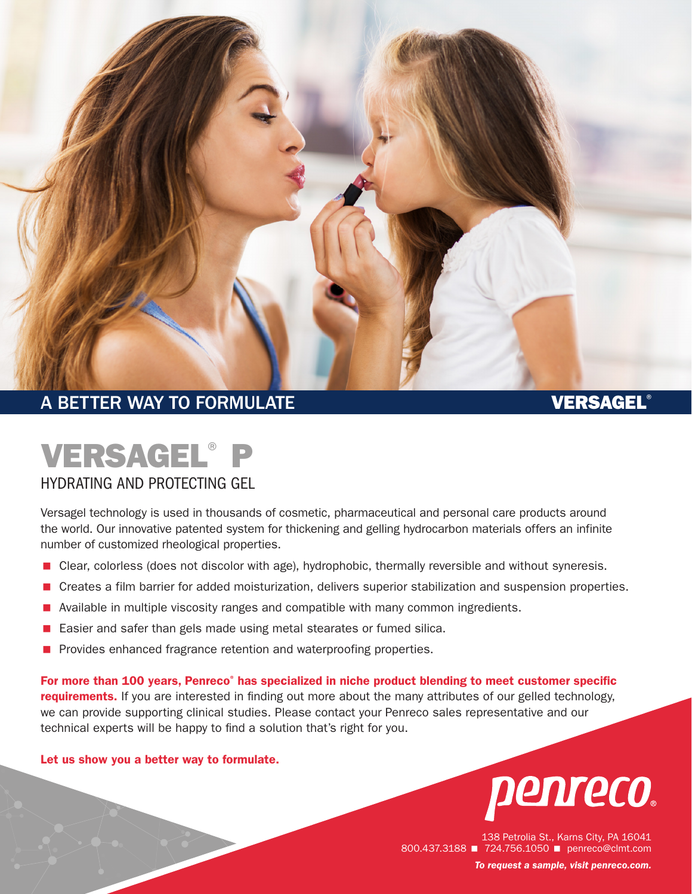

## A BETTER WAY TO FORMULATE A BETTER WAY TO FORMULATE

# VERSAGEL® P

#### HYDRATING AND PROTECTING GEL

Versagel technology is used in thousands of cosmetic, pharmaceutical and personal care products around the world. Our innovative patented system for thickening and gelling hydrocarbon materials offers an infinite number of customized rheological properties.

- **E** Clear, colorless (does not discolor with age), hydrophobic, thermally reversible and without syneresis.
- < Creates a film barrier for added moisturization, delivers superior stabilization and suspension properties.
- Available in multiple viscosity ranges and compatible with many common ingredients.
- < Easier and safer than gels made using metal stearates or fumed silica.
- **Perovides enhanced fragrance retention and waterproofing properties.**

For more than 100 years, Penreco<sup>®</sup> has specialized in niche product blending to meet customer specific requirements. If you are interested in finding out more about the many attributes of our gelled technology, we can provide supporting clinical studies. Please contact your Penreco sales representative and our technical experts will be happy to find a solution that's right for you.

#### Let us show you a better way to formulate.



138 Petrolia St., Karns City, PA 16041 800.437.3188 **1 724.756.1050** penreco@clmt.com *To request a sample, visit [penreco.com](http://penreco.com/).*